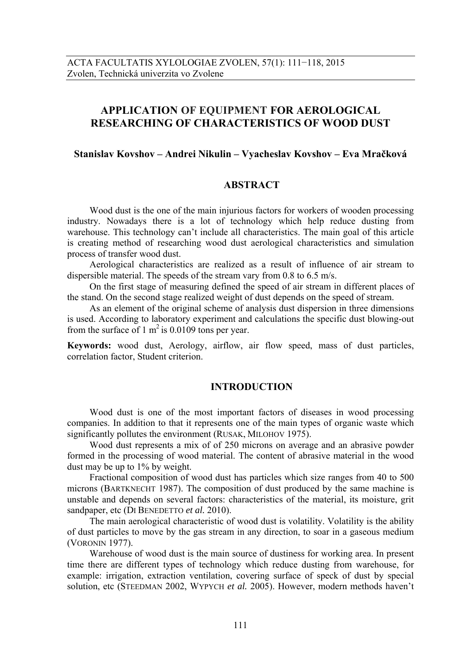# **APPLICATION OF EQUIPMENT FOR AEROLOGICAL RESEARCHING OF CHARACTERISTICS OF WOOD DUST**

#### **Stanislav Kovshov – Andrei Nikulin – Vyacheslav Kovshov – Eva Mračková**

### **ABSTRACT**

 Wood dust is the one of the main injurious factors for workers of wooden processing industry. Nowadays there is a lot of technology which help reduce dusting from warehouse. This technology can't include all characteristics. The main goal of this article is creating method of researching wood dust aerological characteristics and simulation process of transfer wood dust.

 Aerological characteristics are realized as a result of influence of air stream to dispersible material. The speeds of the stream vary from 0.8 to 6.5 m/s.

 On the first stage of measuring defined the speed of air stream in different places of the stand. On the second stage realized weight of dust depends on the speed of stream.

 As an element of the original scheme of analysis dust dispersion in three dimensions is used. According to laboratory experiment and calculations the specific dust blowing-out from the surface of 1  $m^2$  is 0.0109 tons per year.

**Keywords:** wood dust, Aerology, airflow, air flow speed, mass of dust particles, correlation factor, Student criterion.

#### **INTRODUCTION**

Wood dust is one of the most important factors of diseases in wood processing companies. In addition to that it represents one of the main types of organic waste which significantly pollutes the environment (RUSAK, MILOHOV 1975).

Wood dust represents a mix of of 250 microns on average and an abrasive powder formed in the processing of wood material. The content of abrasive material in the wood dust may be up to 1% by weight.

Fractional composition of wood dust has particles which size ranges from 40 to 500 microns (BARTKNECHT 1987). The composition of dust produced by the same machine is unstable and depends on several factors: characteristics of the material, its moisture, grit sandpaper, etc (DI BENEDETTO *et al.* 2010).

The main aerological characteristic of wood dust is volatility. Volatility is the ability of dust particles to move by the gas stream in any direction, to soar in a gaseous medium (VORONIN 1977).

Warehouse of wood dust is the main source of dustiness for working area. In present time there are different types of technology which reduce dusting from warehouse, for example: irrigation, extraction ventilation, covering surface of speck of dust by special solution, etc (STEEDMAN 2002, WYPYCH *et al.* 2005). However, modern methods haven't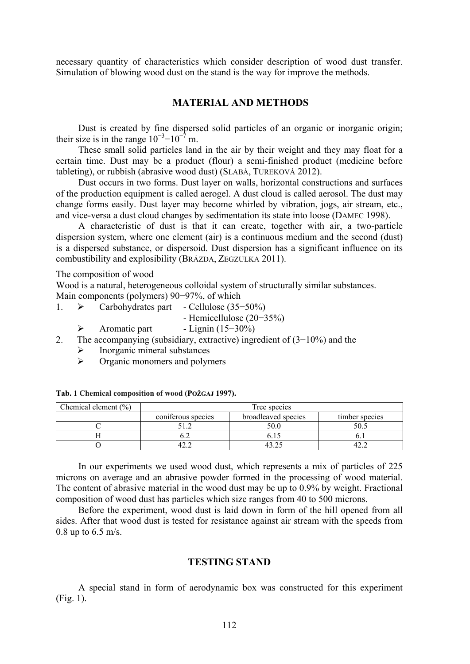necessary quantity of characteristics which consider description of wood dust transfer. Simulation of blowing wood dust on the stand is the way for improve the methods.

# **MATERIAL AND METHODS**

Dust is created by fine dispersed solid particles of an organic or inorganic origin; their size is in the range  $10^{-3}$ – $10^{-7}$  m.

These small solid particles land in the air by their weight and they may float for a certain time. Dust may be a product (flour) a semi-finished product (medicine before tableting), or rubbish (abrasive wood dust) (SLABÁ, TUREKOVÁ 2012).

Dust occurs in two forms. Dust layer on walls, horizontal constructions and surfaces of the production equipment is called aerogel. A dust cloud is called aerosol. The dust may change forms easily. Dust layer may become whirled by vibration, jogs, air stream, etc., and vice-versa a dust cloud changes by sedimentation its state into loose (DAMEC 1998).

A characteristic of dust is that it can create, together with air, a two-particle dispersion system, where one element (air) is a continuous medium and the second (dust) is a dispersed substance, or dispersoid. Dust dispersion has a significant influence on its combustibility and explosibility (BRÁZDA, ZEGZULKA 2011).

The composition of wood

Wood is a natural, heterogeneous colloidal system of structurally similar substances.

Main components (polymers) 90−97%, of which

- 1. Carbohydrates part Cellulose (35−50%)
	- Hemicellulose (20−35%)
	- Aromatic part Lignin (15−30%)
- 2. The accompanying (subsidiary, extractive) ingredient of (3−10%) and the
	- $\triangleright$  Inorganic mineral substances
	- $\triangleright$  Organic monomers and polymers

| Chemical element $(\% )$ | Tree species       |                     |                |  |  |  |
|--------------------------|--------------------|---------------------|----------------|--|--|--|
|                          | coniferous species | broadleaved species | timber species |  |  |  |
|                          |                    | 50.0                |                |  |  |  |
|                          |                    |                     |                |  |  |  |
|                          |                    |                     |                |  |  |  |

**Tab. 1 Chemical composition of wood (POŽGAJ 1997).**

In our experiments we used wood dust, which represents a mix of particles of 225 microns on average and an abrasive powder formed in the processing of wood material. The content of abrasive material in the wood dust may be up to 0.9% by weight. Fractional composition of wood dust has particles which size ranges from 40 to 500 microns.

Before the experiment, wood dust is laid down in form of the hill opened from all sides. After that wood dust is tested for resistance against air stream with the speeds from 0.8 up to 6.5 m/s.

### **TESTING STAND**

A special stand in form of aerodynamic box was constructed for this experiment (Fig. 1).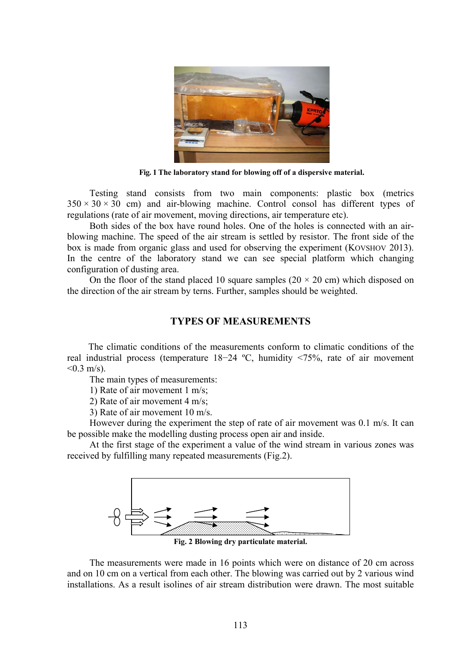

**Fig. 1 The laboratory stand for blowing off of a dispersive material.** 

Testing stand consists from two main components: plastic box (metrics  $350 \times 30 \times 30$  cm) and air-blowing machine. Control consol has different types of regulations (rate of air movement, moving directions, air temperature etc).

Both sides of the box have round holes. One of the holes is connected with an airblowing machine. The speed of the air stream is settled by resistor. The front side of the box is made from organic glass and used for observing the experiment (KOVSHOV 2013). In the centre of the laboratory stand we can see special platform which changing configuration of dusting area.

On the floor of the stand placed 10 square samples  $(20 \times 20 \text{ cm})$  which disposed on the direction of the air stream by terns. Further, samples should be weighted.

### **TYPES OF MEASUREMENTS**

The climatic conditions of the measurements conform to climatic conditions of the real industrial process (temperature 18−24 ºC, humidity <75%, rate of air movement  $< 0.3$  m/s).

The main types of measurements:

1) Rate of air movement 1 m/s;

2) Rate of air movement 4 m/s;

3) Rate of air movement 10 m/s.

However during the experiment the step of rate of air movement was 0.1 m/s. It can be possible make the modelling dusting process open air and inside.

At the first stage of the experiment a value of the wind stream in various zones was received by fulfilling many repeated measurements (Fig.2).



**Fig. 2 Blowing dry particulate material.** 

The measurements were made in 16 points which were on distance of 20 cm across and on 10 cm on a vertical from each other. The blowing was carried out by 2 various wind installations. As a result isolines of air stream distribution were drawn. The most suitable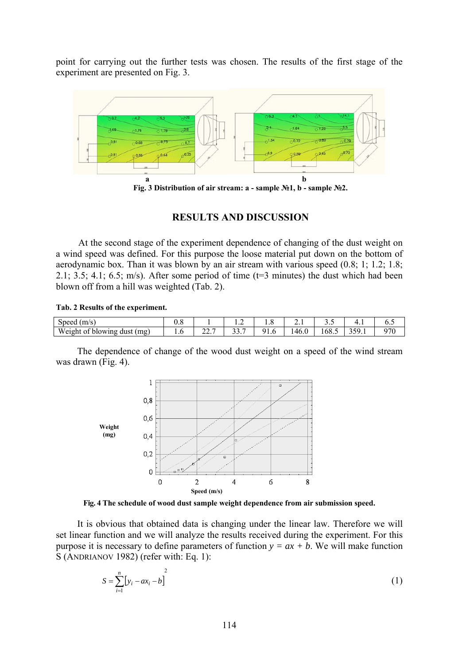point for carrying out the further tests was chosen. The results of the first stage of the experiment are presented on Fig. 3.



**Fig. 3 Distribution of air stream: a - sample №1, b - sample №2.** 

# **RESULTS AND DISCUSSION**

At the second stage of the experiment dependence of changing of the dust weight on a wind speed was defined. For this purpose the loose material put down on the bottom of aerodynamic box. Than it was blown by an air stream with various speed (0.8; 1; 1.2; 1.8; 2.1; 3.5; 4.1; 6.5; m/s). After some period of time  $(t=3 \text{ minutes})$  the dust which had been blown off from a hill was weighted (Tab. 2).

#### **Tab. 2 Results of the experiment.**

| Speed<br>$\left(\frac{m}{s}\right)$ |           |            |       | 1.0        | <u>.</u> | ັ່                     | .                 | ∪.⊾ |
|-------------------------------------|-----------|------------|-------|------------|----------|------------------------|-------------------|-----|
| Weight of blowing dust (mg)         | $\cdot$ v | ^^<br>44.1 | ، . ب | -41.1<br>. | 46.0     | $\sim$ $\sim$<br>108.5 | 200<br>٦u<br>---- |     |

The dependence of change of the wood dust weight on a speed of the wind stream was drawn (Fig. 4).



**Fig. 4 The schedule of wood dust sample weight dependence from air submission speed.** 

It is obvious that obtained data is changing under the linear law. Therefore we will set linear function and we will analyze the results received during the experiment. For this purpose it is necessary to define parameters of function  $y = ax + b$ . We will make function S (ANDRIANOV 1982) (refer with: Eq. 1):

$$
S = \sum_{i=1}^{n} [y_i - ax_i - b]
$$
 (1)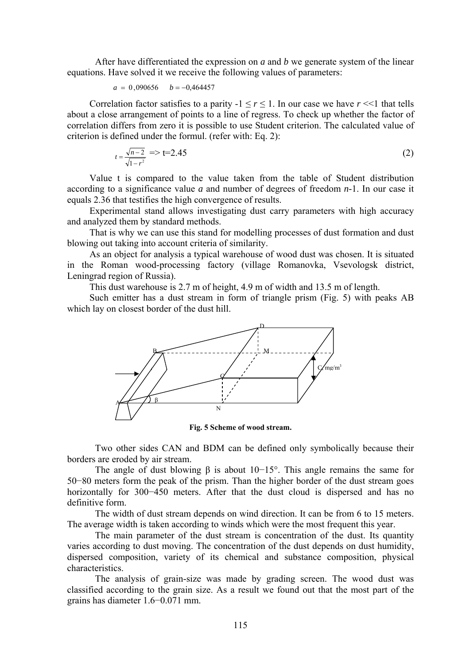After have differentiated the expression on *a* and *b* we generate system of the linear equations. Have solved it we receive the following values of parameters:

$$
a = 0,090656 \qquad b = -0,464457
$$

Correlation factor satisfies to a parity  $-1 \le r \le 1$ . In our case we have  $r \le 1$  that tells about a close arrangement of points to a line of regress. To check up whether the factor of correlation differs from zero it is possible to use Student criterion. The calculated value of criterion is defined under the formul. (refer with: Eq. 2):

$$
t = \frac{\sqrt{n-2}}{\sqrt{1-r^2}}
$$
  $\Rightarrow$  t=2.45 (2)

Value t is compared to the value taken from the table of Student distribution according to a significance value *a* and number of degrees of freedom *n*-1. In our case it equals 2.36 that testifies the high convergence of results.

Experimental stand allows investigating dust carry parameters with high accuracy and analyzed them by standard methods.

That is why we can use this stand for modelling processes of dust formation and dust blowing out taking into account criteria of similarity.

As an object for analysis a typical warehouse of wood dust was chosen. It is situated in the Roman wood-processing factory (village Romanovka, Vsevologsk district, Leningrad region of Russia).

This dust warehouse is 2.7 m of height, 4.9 m of width and 13.5 m of length.

Such emitter has a dust stream in form of triangle prism (Fig. 5) with peaks AB which lay on closest border of the dust hill.



**Fig. 5 Scheme of wood stream.** 

Two other sides CAN and BDM can be defined only symbolically because their borders are eroded by air stream.

The angle of dust blowing  $\beta$  is about 10−15°. This angle remains the same for 50−80 meters form the peak of the prism. Than the higher border of the dust stream goes horizontally for 300−450 meters. After that the dust cloud is dispersed and has no definitive form.

The width of dust stream depends on wind direction. It can be from 6 to 15 meters. The average width is taken according to winds which were the most frequent this year.

The main parameter of the dust stream is concentration of the dust. Its quantity varies according to dust moving. The concentration of the dust depends on dust humidity, dispersed composition, variety of its chemical and substance composition, physical characteristics.

The analysis of grain-size was made by grading screen. The wood dust was classified according to the grain size. As a result we found out that the most part of the grains has diameter 1.6−0.071 mm.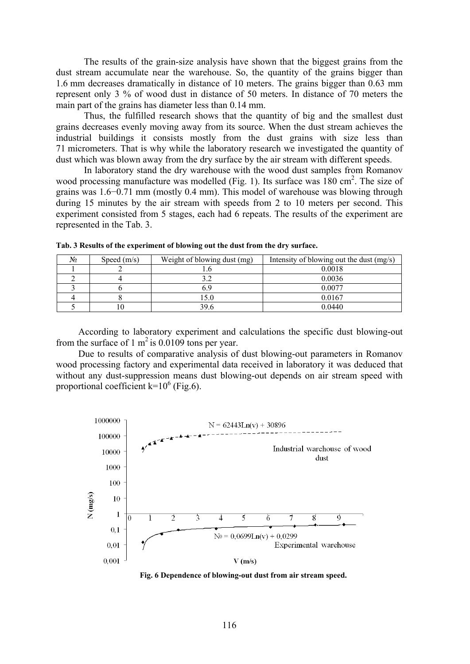The results of the grain-size analysis have shown that the biggest grains from the dust stream accumulate near the warehouse. So, the quantity of the grains bigger than 1.6 mm decreases dramatically in distance of 10 meters. The grains bigger than 0.63 mm represent only 3 % of wood dust in distance of 50 meters. In distance of 70 meters the main part of the grains has diameter less than 0.14 mm.

Thus, the fulfilled research shows that the quantity of big and the smallest dust grains decreases evenly moving away from its source. When the dust stream achieves the industrial buildings it consists mostly from the dust grains with size less than 71 micrometers. That is why while the laboratory research we investigated the quantity of dust which was blown away from the dry surface by the air stream with different speeds.

In laboratory stand the dry warehouse with the wood dust samples from Romanov wood processing manufacture was modelled (Fig. 1). Its surface was 180 cm<sup>2</sup>. The size of grains was 1.6−0.71 mm (mostly 0.4 mm). This model of warehouse was blowing through during 15 minutes by the air stream with speeds from 2 to 10 meters per second. This experiment consisted from 5 stages, each had 6 repeats. The results of the experiment are represented in the Tab. 3.

| $N_2$ | Speed $(m/s)$ | Weight of blowing dust (mg) | Intensity of blowing out the dust (mg/s) |
|-------|---------------|-----------------------------|------------------------------------------|
|       |               |                             | 0.0018                                   |
|       |               |                             | 0.0036                                   |
|       |               |                             | 0.0077                                   |
|       |               |                             | 0.0167                                   |
|       |               | 39.t                        | 0.0440                                   |

**Tab. 3 Results of the experiment of blowing out the dust from the dry surface.** 

According to laboratory experiment and calculations the specific dust blowing-out from the surface of 1  $m^2$  is 0.0109 tons per year.

Due to results of comparative analysis of dust blowing-out parameters in Romanov wood processing factory and experimental data received in laboratory it was deduced that without any dust-suppression means dust blowing-out depends on air stream speed with proportional coefficient  $k=10^6$  (Fig.6).



**Fig. 6 Dependence of blowing-out dust from air stream speed.**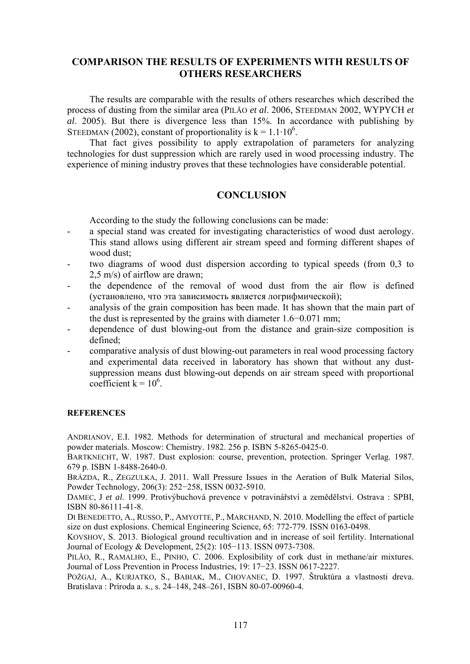# **COMPARISON THE RESULTS OF EXPERIMENTS WITH RESULTS OF OTHERS RESEARCHERS**

The results are comparable with the results of others researches which described the process of dusting from the similar area (PILÃO *et al*. 2006, STEEDMAN 2002, WYPYCH *et al*. 2005). But there is divergence less than 15%. In accordance with publishing by STEEDMAN (2002), constant of proportionality is  $k = 1.1 \cdot 10^6$ .

That fact gives possibility to apply extrapolation of parameters for analyzing technologies for dust suppression which are rarely used in wood processing industry. The experience of mining industry proves that these technologies have considerable potential.

# **CONCLUSION**

According to the study the following conclusions can be made:

- a special stand was created for investigating characteristics of wood dust aerology. This stand allows using different air stream speed and forming different shapes of wood dust;
- two diagrams of wood dust dispersion according to typical speeds (from 0.3 to 2,5 m/s) of airflow are drawn;
- the dependence of the removal of wood dust from the air flow is defined (установлено, что эта зависимость является логрифмической);
- analysis of the grain composition has been made. It has shown that the main part of the dust is represented by the grains with diameter 1.6−0.071 mm;
- dependence of dust blowing-out from the distance and grain-size composition is defined;
- comparative analysis of dust blowing-out parameters in real wood processing factory and experimental data received in laboratory has shown that without any dustsuppression means dust blowing-out depends on air stream speed with proportional coefficient  $k = 10^6$ .

#### **REFERENCES**

ANDRIANOV, E.I. 1982. Methods for determination of structural and mechanical properties of powder materials. Moscow: Chemistry. 1982. 256 p. ISBN 5-8265-0425-0.

BARTKNECHT, W. 1987. Dust explosion: course, prevention, protection. Springer Verlag. 1987. 679 p. ISBN 1-8488-2640-0.

BRÁZDA, R., ZEGZULKA, J. 2011. Wall Pressure Issues in the Aeration of Bulk Material Silos, Powder Technology, 206(3): 252−258, ISSN 0032-5910.

DAMEC, J *et al*. 1999. Protivýbuchová prevence v potravinářství a zemědělství. Ostrava : SPBI, ISBN 80-86111-41-8.

DI BENEDETTO, A., RUSSO, P., AMYOTTE, P., MARCHAND, N. 2010. Modelling the effect of particle size on dust explosions. Chemical Engineering Science, 65: 772-779. ISSN 0163-0498.

KOVSHOV, S. 2013. Biological ground recultivation and in increase of soil fertility. International Journal of Ecology & Development, 25(2): 105−113. ISSN 0973-7308.

PILÃO, R., RAMALHO, E., PINHO, C. 2006. Explosibility of cork dust in methane/air mixtures. Journal of Loss Prevention in Process Industries, 19: 17−23. ISSN 0617-2227.

POŽGAJ, A., KURJATKO, S., BABIAK, M., CHOVANEC, D. 1997. Štruktúra a vlastnosti dreva. Bratislava : Príroda a. s., s. 24–148, 248–261, ISBN 80-07-00960-4.